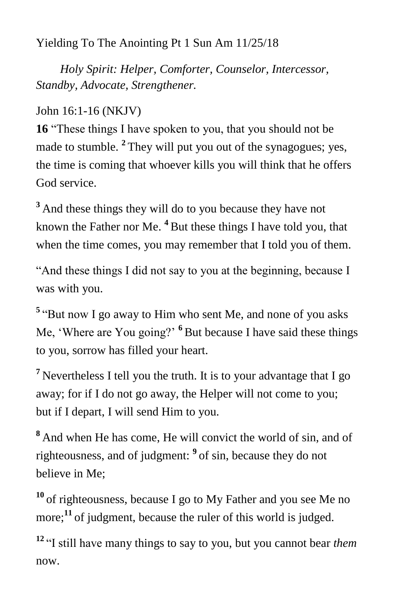Yielding To The Anointing Pt 1 Sun Am 11/25/18

 *Holy Spirit: Helper, Comforter, Counselor, Intercessor, Standby, Advocate, Strengthener.*

John 16:1-16 (NKJV)

**16** "These things I have spoken to you, that you should not be made to stumble. **<sup>2</sup>** They will put you out of the synagogues; yes, the time is coming that whoever kills you will think that he offers God service.

<sup>3</sup> And these things they will do to you because they have not known the Father nor Me. **<sup>4</sup>** But these things I have told you, that when the time comes, you may remember that I told you of them.

"And these things I did not say to you at the beginning, because I was with you.

<sup>5</sup> "But now I go away to Him who sent Me, and none of you asks Me, 'Where are You going?' **<sup>6</sup>** But because I have said these things to you, sorrow has filled your heart.

**<sup>7</sup>** Nevertheless I tell you the truth. It is to your advantage that I go away; for if I do not go away, the Helper will not come to you; but if I depart, I will send Him to you.

**<sup>8</sup>** And when He has come, He will convict the world of sin, and of righteousness, and of judgment: **<sup>9</sup>** of sin, because they do not believe in Me;

**<sup>10</sup>** of righteousness, because I go to My Father and you see Me no more; **<sup>11</sup>** of judgment, because the ruler of this world is judged.

**<sup>12</sup>** "I still have many things to say to you, but you cannot bear *them*  now.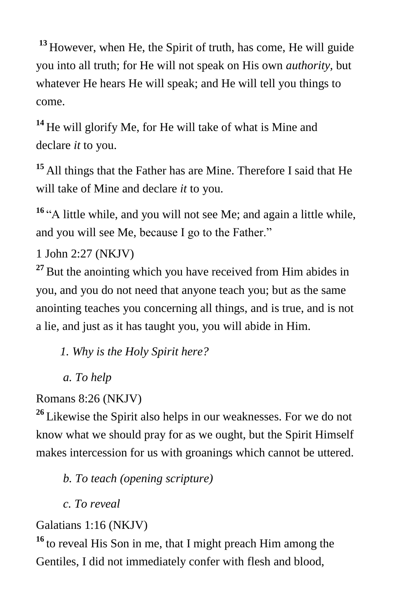**<sup>13</sup>** However, when He, the Spirit of truth, has come, He will guide you into all truth; for He will not speak on His own *authority,* but whatever He hears He will speak; and He will tell you things to come.

**<sup>14</sup>** He will glorify Me, for He will take of what is Mine and declare *it* to you.

**<sup>15</sup>** All things that the Father has are Mine. Therefore I said that He will take of Mine and declare *it* to you.

<sup>16</sup> "A little while, and you will not see Me; and again a little while, and you will see Me, because I go to the Father."

1 John 2:27 (NKJV)

**<sup>27</sup>** But the anointing which you have received from Him abides in you, and you do not need that anyone teach you; but as the same anointing teaches you concerning all things, and is true, and is not a lie, and just as it has taught you, you will abide in Him.

*1. Why is the Holy Spirit here?*

 *a. To help*

Romans 8:26 (NKJV)

**<sup>26</sup>** Likewise the Spirit also helps in our weaknesses. For we do not know what we should pray for as we ought, but the Spirit Himself makes intercession for us with groanings which cannot be uttered.

*b. To teach (opening scripture)*

 *c. To reveal*

Galatians 1:16 (NKJV)

**<sup>16</sup>** to reveal His Son in me, that I might preach Him among the Gentiles, I did not immediately confer with flesh and blood,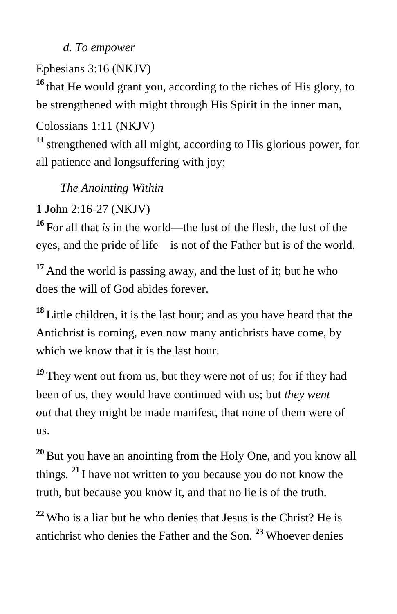### *d. To empower*

# Ephesians 3:16 (NKJV)

**<sup>16</sup>** that He would grant you, according to the riches of His glory, to be strengthened with might through His Spirit in the inner man,

## Colossians 1:11 (NKJV)

**<sup>11</sup>** strengthened with all might, according to His glorious power, for all patience and longsuffering with joy;

# *The Anointing Within*

1 John 2:16-27 (NKJV)

**<sup>16</sup>** For all that *is* in the world—the lust of the flesh, the lust of the eyes, and the pride of life—is not of the Father but is of the world.

**<sup>17</sup>** And the world is passing away, and the lust of it; but he who does the will of God abides forever.

**<sup>18</sup>** Little children, it is the last hour; and as you have heard that the Antichrist is coming, even now many antichrists have come, by which we know that it is the last hour.

<sup>19</sup> They went out from us, but they were not of us; for if they had been of us, they would have continued with us; but *they went out* that they might be made manifest, that none of them were of us.

**<sup>20</sup>** But you have an anointing from the Holy One, and you know all things. **<sup>21</sup>** I have not written to you because you do not know the truth, but because you know it, and that no lie is of the truth.

**<sup>22</sup>** Who is a liar but he who denies that Jesus is the Christ? He is antichrist who denies the Father and the Son. **<sup>23</sup>** Whoever denies